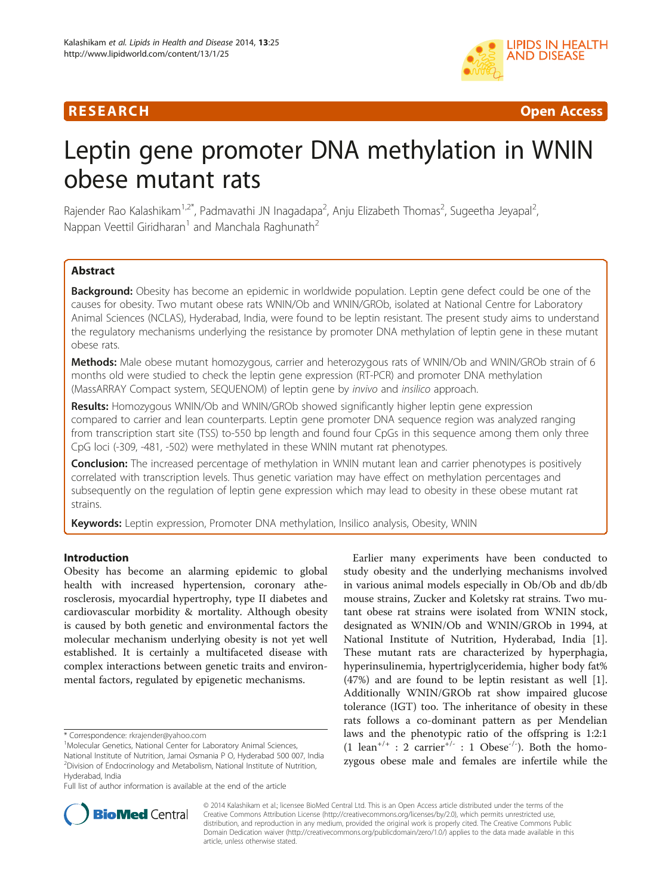

R E S EAR CH Open Access

# Leptin gene promoter DNA methylation in WNIN obese mutant rats

Rajender Rao Kalashikam<sup>1,2\*</sup>, Padmavathi JN Inagadapa<sup>2</sup>, Anju Elizabeth Thomas<sup>2</sup>, Sugeetha Jeyapal<sup>2</sup> , Nappan Veettil Giridharan<sup>1</sup> and Manchala Raghunath<sup>2</sup>

# Abstract

**Background:** Obesity has become an epidemic in worldwide population. Leptin gene defect could be one of the causes for obesity. Two mutant obese rats WNIN/Ob and WNIN/GROb, isolated at National Centre for Laboratory Animal Sciences (NCLAS), Hyderabad, India, were found to be leptin resistant. The present study aims to understand the regulatory mechanisms underlying the resistance by promoter DNA methylation of leptin gene in these mutant obese rats.

Methods: Male obese mutant homozygous, carrier and heterozygous rats of WNIN/Ob and WNIN/GROb strain of 6 months old were studied to check the leptin gene expression (RT-PCR) and promoter DNA methylation (MassARRAY Compact system, SEQUENOM) of leptin gene by invivo and insilico approach.

Results: Homozygous WNIN/Ob and WNIN/GROb showed significantly higher leptin gene expression compared to carrier and lean counterparts. Leptin gene promoter DNA sequence region was analyzed ranging from transcription start site (TSS) to-550 bp length and found four CpGs in this sequence among them only three CpG loci (-309, -481, -502) were methylated in these WNIN mutant rat phenotypes.

Conclusion: The increased percentage of methylation in WNIN mutant lean and carrier phenotypes is positively correlated with transcription levels. Thus genetic variation may have effect on methylation percentages and subsequently on the regulation of leptin gene expression which may lead to obesity in these obese mutant rat strains.

Keywords: Leptin expression, Promoter DNA methylation, Insilico analysis, Obesity, WNIN

# Introduction

Obesity has become an alarming epidemic to global health with increased hypertension, coronary atherosclerosis, myocardial hypertrophy, type II diabetes and cardiovascular morbidity & mortality. Although obesity is caused by both genetic and environmental factors the molecular mechanism underlying obesity is not yet well established. It is certainly a multifaceted disease with complex interactions between genetic traits and environmental factors, regulated by epigenetic mechanisms.

<sup>1</sup>Molecular Genetics, National Center for Laboratory Animal Sciences, National Institute of Nutrition, Jamai Osmania P O, Hyderabad 500 007, India 2 Division of Endocrinology and Metabolism, National Institute of Nutrition, Hyderabad, India

Full list of author information is available at the end of the article





© 2014 Kalashikam et al.; licensee BioMed Central Ltd. This is an Open Access article distributed under the terms of the Creative Commons Attribution License (<http://creativecommons.org/licenses/by/2.0>), which permits unrestricted use, distribution, and reproduction in any medium, provided the original work is properly cited. The Creative Commons Public Domain Dedication waiver [\(http://creativecommons.org/publicdomain/zero/1.0/\)](http://creativecommons.org/publicdomain/zero/1.0/) applies to the data made available in this article, unless otherwise stated.

<sup>\*</sup> Correspondence: [rkrajender@yahoo.com](mailto:rkrajender@yahoo.com) <sup>1</sup>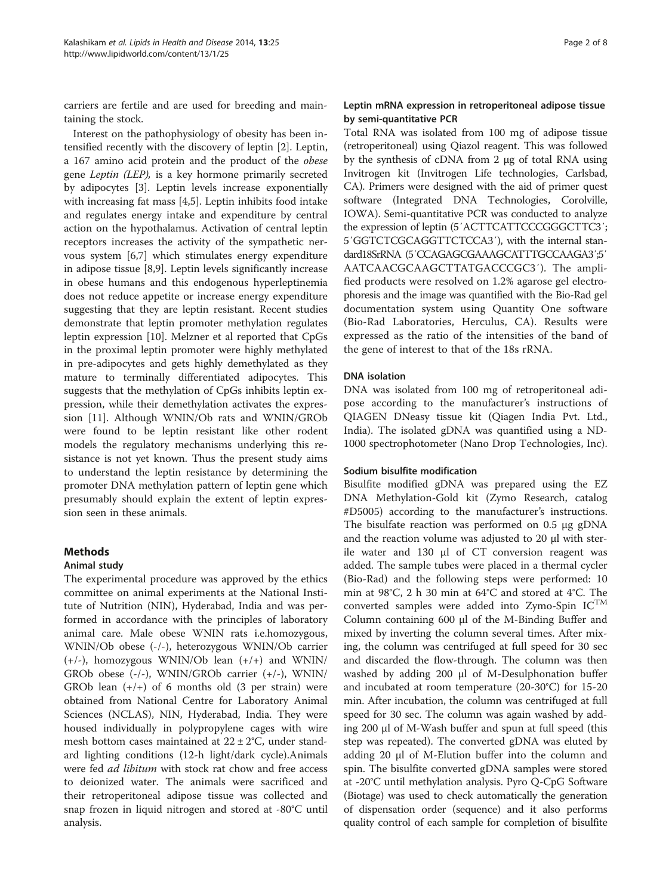carriers are fertile and are used for breeding and maintaining the stock.

Interest on the pathophysiology of obesity has been intensified recently with the discovery of leptin [[2\]](#page-6-0). Leptin, a 167 amino acid protein and the product of the obese gene Leptin (LEP), is a key hormone primarily secreted by adipocytes [[3\]](#page-6-0). Leptin levels increase exponentially with increasing fat mass [[4,5\]](#page-6-0). Leptin inhibits food intake and regulates energy intake and expenditure by central action on the hypothalamus. Activation of central leptin receptors increases the activity of the sympathetic nervous system [[6](#page-6-0),[7\]](#page-6-0) which stimulates energy expenditure in adipose tissue [[8,9\]](#page-6-0). Leptin levels significantly increase in obese humans and this endogenous hyperleptinemia does not reduce appetite or increase energy expenditure suggesting that they are leptin resistant. Recent studies demonstrate that leptin promoter methylation regulates leptin expression [\[10\]](#page-7-0). Melzner et al reported that CpGs in the proximal leptin promoter were highly methylated in pre-adipocytes and gets highly demethylated as they mature to terminally differentiated adipocytes. This suggests that the methylation of CpGs inhibits leptin expression, while their demethylation activates the expression [\[11](#page-7-0)]. Although WNIN/Ob rats and WNIN/GROb were found to be leptin resistant like other rodent models the regulatory mechanisms underlying this resistance is not yet known. Thus the present study aims to understand the leptin resistance by determining the promoter DNA methylation pattern of leptin gene which presumably should explain the extent of leptin expression seen in these animals.

# Methods

# Animal study

The experimental procedure was approved by the ethics committee on animal experiments at the National Institute of Nutrition (NIN), Hyderabad, India and was performed in accordance with the principles of laboratory animal care. Male obese WNIN rats i.e.homozygous, WNIN/Ob obese (-/-), heterozygous WNIN/Ob carrier (+/-), homozygous WNIN/Ob lean (+/+) and WNIN/ GROb obese (-/-), WNIN/GROb carrier (+/-), WNIN/ GROb lean  $(+/+)$  of 6 months old  $(3 \text{ per strain})$  were obtained from National Centre for Laboratory Animal Sciences (NCLAS), NIN, Hyderabad, India. They were housed individually in polypropylene cages with wire mesh bottom cases maintained at  $22 \pm 2$ °C, under standard lighting conditions (12-h light/dark cycle).Animals were fed *ad libitum* with stock rat chow and free access to deionized water. The animals were sacrificed and their retroperitoneal adipose tissue was collected and snap frozen in liquid nitrogen and stored at -80°C until analysis.

# Leptin mRNA expression in retroperitoneal adipose tissue by semi-quantitative PCR

Total RNA was isolated from 100 mg of adipose tissue (retroperitoneal) using Qiazol reagent. This was followed by the synthesis of cDNA from 2 μg of total RNA using Invitrogen kit (Invitrogen Life technologies, Carlsbad, CA). Primers were designed with the aid of primer quest software (Integrated DNA Technologies, Corolville, IOWA). Semi-quantitative PCR was conducted to analyze the expression of leptin (5′ACTTCATTCCCGGGCTTC3′; 5′GGTCTCGCAGGTTCTCCA3′), with the internal standard18SrRNA (5′CCAGAGCGAAAGCATTTGCCAAGA3′;5′ AATCAACGCAAGCTTATGACCCGC3′). The amplified products were resolved on 1.2% agarose gel electrophoresis and the image was quantified with the Bio-Rad gel documentation system using Quantity One software (Bio-Rad Laboratories, Herculus, CA). Results were expressed as the ratio of the intensities of the band of the gene of interest to that of the 18s rRNA.

### DNA isolation

DNA was isolated from 100 mg of retroperitoneal adipose according to the manufacturer's instructions of QIAGEN DNeasy tissue kit (Qiagen India Pvt. Ltd., India). The isolated gDNA was quantified using a ND-1000 spectrophotometer (Nano Drop Technologies, Inc).

#### Sodium bisulfite modification

Bisulfite modified gDNA was prepared using the EZ DNA Methylation-Gold kit (Zymo Research, catalog #D5005) according to the manufacturer's instructions. The bisulfate reaction was performed on 0.5 μg gDNA and the reaction volume was adjusted to 20 μl with sterile water and 130 μl of CT conversion reagent was added. The sample tubes were placed in a thermal cycler (Bio-Rad) and the following steps were performed: 10 min at 98°C, 2 h 30 min at 64°C and stored at 4°C. The converted samples were added into Zymo-Spin  $IC^{TM}$ Column containing 600 μl of the M-Binding Buffer and mixed by inverting the column several times. After mixing, the column was centrifuged at full speed for 30 sec and discarded the flow-through. The column was then washed by adding 200 μl of M-Desulphonation buffer and incubated at room temperature (20-30°C) for 15-20 min. After incubation, the column was centrifuged at full speed for 30 sec. The column was again washed by adding 200 μl of M-Wash buffer and spun at full speed (this step was repeated). The converted gDNA was eluted by adding 20 μl of M-Elution buffer into the column and spin. The bisulfite converted gDNA samples were stored at -20°C until methylation analysis. Pyro Q-CpG Software (Biotage) was used to check automatically the generation of dispensation order (sequence) and it also performs quality control of each sample for completion of bisulfite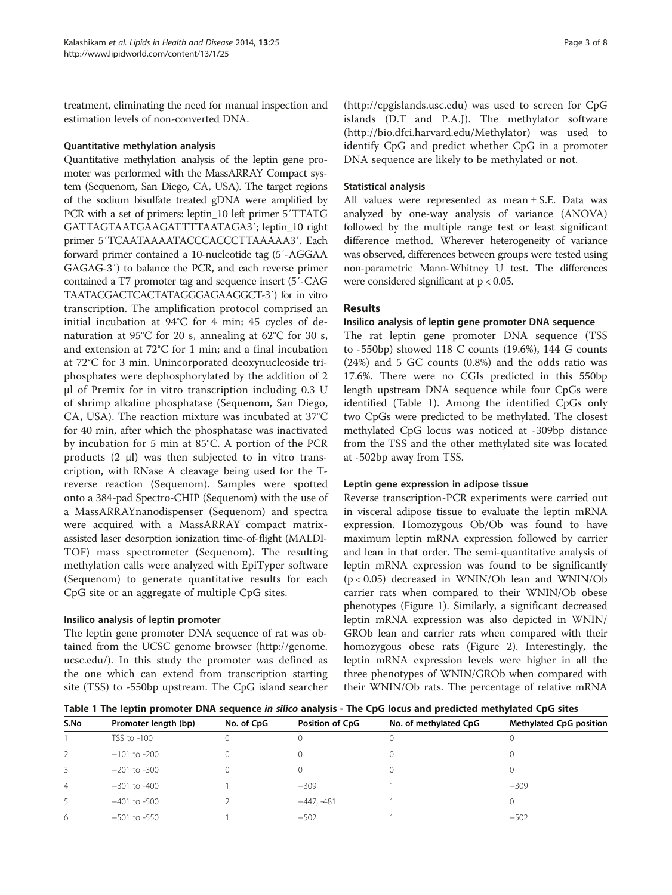treatment, eliminating the need for manual inspection and estimation levels of non-converted DNA.

#### Quantitative methylation analysis

Quantitative methylation analysis of the leptin gene promoter was performed with the MassARRAY Compact system (Sequenom, San Diego, CA, USA). The target regions of the sodium bisulfate treated gDNA were amplified by PCR with a set of primers: leptin\_10 left primer 5′TTATG GATTAGTAATGAAGATTTTAATAGA3′; leptin\_10 right primer 5′TCAATAAAATACCCACCCTTAAAAA3′. Each forward primer contained a 10-nucleotide tag (5′-AGGAA GAGAG-3′) to balance the PCR, and each reverse primer contained a T7 promoter tag and sequence insert (5′-CAG TAATACGACTCACTATAGGGAGAAGGCT-3′) for in vitro transcription. The amplification protocol comprised an initial incubation at 94°C for 4 min; 45 cycles of denaturation at 95°C for 20 s, annealing at 62°C for 30 s, and extension at 72°C for 1 min; and a final incubation at 72°C for 3 min. Unincorporated deoxynucleoside triphosphates were dephosphorylated by the addition of 2 μl of Premix for in vitro transcription including 0.3 U of shrimp alkaline phosphatase (Sequenom, San Diego, CA, USA). The reaction mixture was incubated at 37°C for 40 min, after which the phosphatase was inactivated by incubation for 5 min at 85°C. A portion of the PCR products (2 μl) was then subjected to in vitro transcription, with RNase A cleavage being used for the Treverse reaction (Sequenom). Samples were spotted onto a 384-pad Spectro-CHIP (Sequenom) with the use of a MassARRAYnanodispenser (Sequenom) and spectra were acquired with a MassARRAY compact matrixassisted laser desorption ionization time-of-flight (MALDI-TOF) mass spectrometer (Sequenom). The resulting methylation calls were analyzed with EpiTyper software (Sequenom) to generate quantitative results for each CpG site or an aggregate of multiple CpG sites.

### Insilico analysis of leptin promoter

The leptin gene promoter DNA sequence of rat was obtained from the UCSC genome browser ([http://genome.](http://genome.ucsc.edu/) [ucsc.edu/\)](http://genome.ucsc.edu/). In this study the promoter was defined as the one which can extend from transcription starting site (TSS) to -550bp upstream. The CpG island searcher

(<http://cpgislands.usc.edu>) was used to screen for CpG islands (D.T and P.A.J). The methylator software (<http://bio.dfci.harvard.edu/Methylator>) was used to identify CpG and predict whether CpG in a promoter DNA sequence are likely to be methylated or not.

# Statistical analysis

All values were represented as mean ± S.E. Data was analyzed by one-way analysis of variance (ANOVA) followed by the multiple range test or least significant difference method. Wherever heterogeneity of variance was observed, differences between groups were tested using non-parametric Mann-Whitney U test. The differences were considered significant at  $p < 0.05$ .

# Results

#### Insilico analysis of leptin gene promoter DNA sequence

The rat leptin gene promoter DNA sequence (TSS to -550bp) showed 118 C counts (19.6%), 144 G counts (24%) and 5 GC counts (0.8%) and the odds ratio was 17.6%. There were no CGIs predicted in this 550bp length upstream DNA sequence while four CpGs were identified (Table 1). Among the identified CpGs only two CpGs were predicted to be methylated. The closest methylated CpG locus was noticed at -309bp distance from the TSS and the other methylated site was located at -502bp away from TSS.

#### Leptin gene expression in adipose tissue

Reverse transcription-PCR experiments were carried out in visceral adipose tissue to evaluate the leptin mRNA expression. Homozygous Ob/Ob was found to have maximum leptin mRNA expression followed by carrier and lean in that order. The semi-quantitative analysis of leptin mRNA expression was found to be significantly (p < 0.05) decreased in WNIN/Ob lean and WNIN/Ob carrier rats when compared to their WNIN/Ob obese phenotypes (Figure [1\)](#page-3-0). Similarly, a significant decreased leptin mRNA expression was also depicted in WNIN/ GROb lean and carrier rats when compared with their homozygous obese rats (Figure [2](#page-3-0)). Interestingly, the leptin mRNA expression levels were higher in all the three phenotypes of WNIN/GROb when compared with their WNIN/Ob rats. The percentage of relative mRNA

Table 1 The leptin promoter DNA sequence in silico analysis - The CpG locus and predicted methylated CpG sites

| Promoter length (bp) | No. of CpG | <b>Position of CpG</b> | No. of methylated CpG | <b>Methylated CpG position</b> |
|----------------------|------------|------------------------|-----------------------|--------------------------------|
| TSS to $-100$        | $\Omega$   | $\Omega$               | $\Omega$              |                                |
| $-101$ to $-200$     | $\Omega$   | $\mathbf{0}$           | $\Omega$              |                                |
| $-201$ to $-300$     | $\Omega$   | $\Omega$               | $\Omega$              | 0                              |
| $-301$ to $-400$     |            | $-309$                 |                       | $-309$                         |
| $-401$ to $-500$     |            | $-447, -481$           |                       |                                |
| $-501$ to $-550$     |            | $-502$                 |                       | $-502$                         |
|                      |            |                        |                       |                                |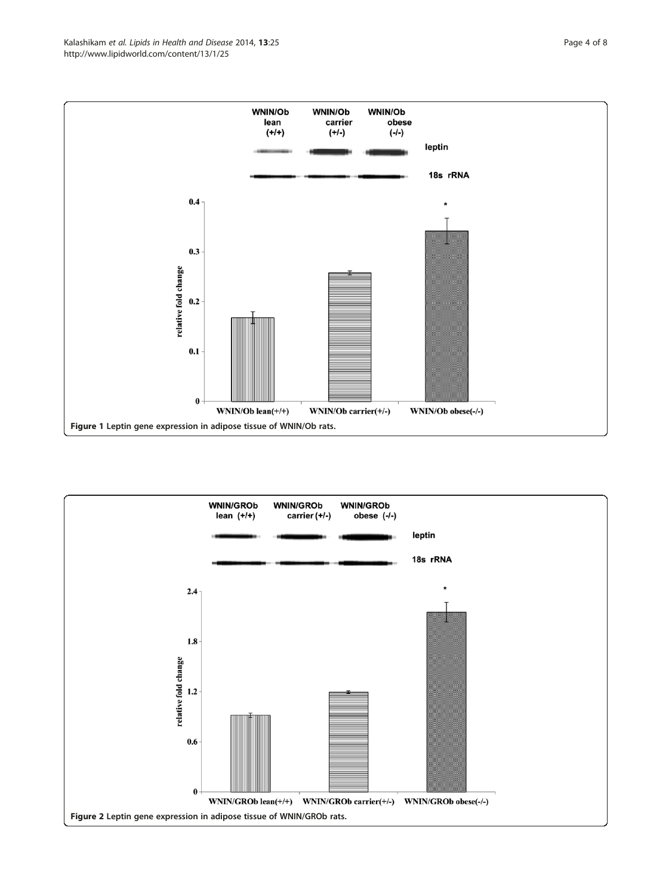<span id="page-3-0"></span>

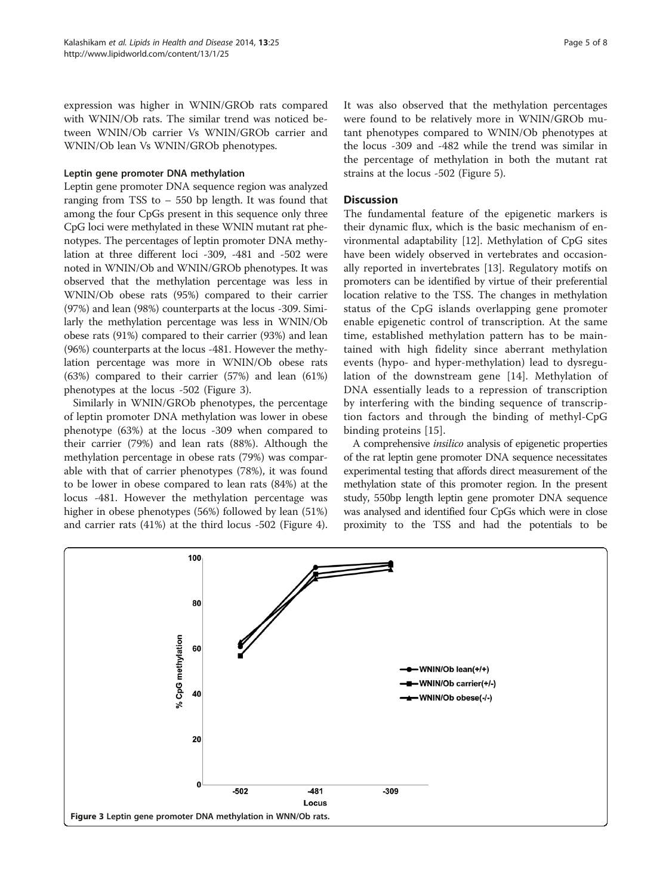expression was higher in WNIN/GROb rats compared with WNIN/Ob rats. The similar trend was noticed between WNIN/Ob carrier Vs WNIN/GROb carrier and WNIN/Ob lean Vs WNIN/GROb phenotypes.

#### Leptin gene promoter DNA methylation

Leptin gene promoter DNA sequence region was analyzed ranging from TSS to – 550 bp length. It was found that among the four CpGs present in this sequence only three CpG loci were methylated in these WNIN mutant rat phenotypes. The percentages of leptin promoter DNA methylation at three different loci -309, -481 and -502 were noted in WNIN/Ob and WNIN/GROb phenotypes. It was observed that the methylation percentage was less in WNIN/Ob obese rats (95%) compared to their carrier (97%) and lean (98%) counterparts at the locus -309. Similarly the methylation percentage was less in WNIN/Ob obese rats (91%) compared to their carrier (93%) and lean (96%) counterparts at the locus -481. However the methylation percentage was more in WNIN/Ob obese rats (63%) compared to their carrier (57%) and lean (61%) phenotypes at the locus -502 (Figure 3).

Similarly in WNIN/GROb phenotypes, the percentage of leptin promoter DNA methylation was lower in obese phenotype (63%) at the locus -309 when compared to their carrier (79%) and lean rats (88%). Although the methylation percentage in obese rats (79%) was comparable with that of carrier phenotypes (78%), it was found to be lower in obese compared to lean rats (84%) at the locus -481. However the methylation percentage was higher in obese phenotypes (56%) followed by lean (51%) and carrier rats (41%) at the third locus -502 (Figure [4](#page-5-0)). It was also observed that the methylation percentages were found to be relatively more in WNIN/GROb mutant phenotypes compared to WNIN/Ob phenotypes at the locus -309 and -482 while the trend was similar in the percentage of methylation in both the mutant rat strains at the locus -502 (Figure [5](#page-5-0)).

# **Discussion**

The fundamental feature of the epigenetic markers is their dynamic flux, which is the basic mechanism of environmental adaptability [[12](#page-7-0)]. Methylation of CpG sites have been widely observed in vertebrates and occasionally reported in invertebrates [\[13](#page-7-0)]. Regulatory motifs on promoters can be identified by virtue of their preferential location relative to the TSS. The changes in methylation status of the CpG islands overlapping gene promoter enable epigenetic control of transcription. At the same time, established methylation pattern has to be maintained with high fidelity since aberrant methylation events (hypo- and hyper-methylation) lead to dysregulation of the downstream gene [[14\]](#page-7-0). Methylation of DNA essentially leads to a repression of transcription by interfering with the binding sequence of transcription factors and through the binding of methyl-CpG binding proteins [[15\]](#page-7-0).

A comprehensive insilico analysis of epigenetic properties of the rat leptin gene promoter DNA sequence necessitates experimental testing that affords direct measurement of the methylation state of this promoter region. In the present study, 550bp length leptin gene promoter DNA sequence was analysed and identified four CpGs which were in close proximity to the TSS and had the potentials to be

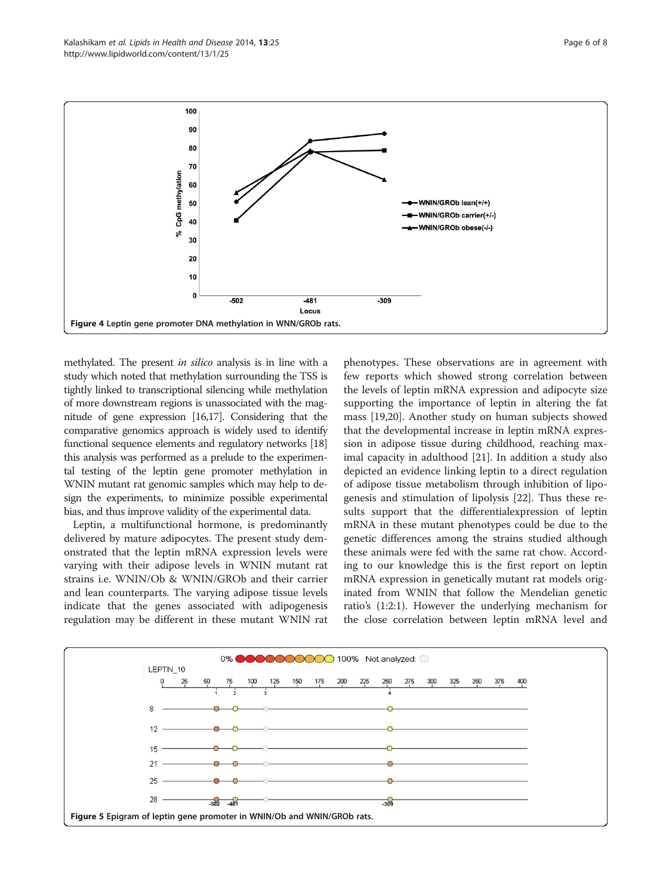methylated. The present in silico analysis is in line with a study which noted that methylation surrounding the TSS is tightly linked to transcriptional silencing while methylation of more downstream regions is unassociated with the magnitude of gene expression [\[16,17](#page-7-0)]. Considering that the comparative genomics approach is widely used to identify functional sequence elements and regulatory networks [\[18](#page-7-0)] this analysis was performed as a prelude to the experimental testing of the leptin gene promoter methylation in WNIN mutant rat genomic samples which may help to design the experiments, to minimize possible experimental bias, and thus improve validity of the experimental data.

Leptin, a multifunctional hormone, is predominantly delivered by mature adipocytes. The present study demonstrated that the leptin mRNA expression levels were varying with their adipose levels in WNIN mutant rat strains i.e. WNIN/Ob & WNIN/GROb and their carrier and lean counterparts. The varying adipose tissue levels indicate that the genes associated with adipogenesis regulation may be different in these mutant WNIN rat

phenotypes. These observations are in agreement with few reports which showed strong correlation between the levels of leptin mRNA expression and adipocyte size supporting the importance of leptin in altering the fat mass [[19,20](#page-7-0)]. Another study on human subjects showed that the developmental increase in leptin mRNA expression in adipose tissue during childhood, reaching maximal capacity in adulthood [[21](#page-7-0)]. In addition a study also depicted an evidence linking leptin to a direct regulation of adipose tissue metabolism through inhibition of lipogenesis and stimulation of lipolysis [\[22\]](#page-7-0). Thus these results support that the differentialexpression of leptin mRNA in these mutant phenotypes could be due to the genetic differences among the strains studied although these animals were fed with the same rat chow. According to our knowledge this is the first report on leptin mRNA expression in genetically mutant rat models originated from WNIN that follow the Mendelian genetic ratio's (1:2:1). However the underlying mechanism for the close correlation between leptin mRNA level and



<span id="page-5-0"></span>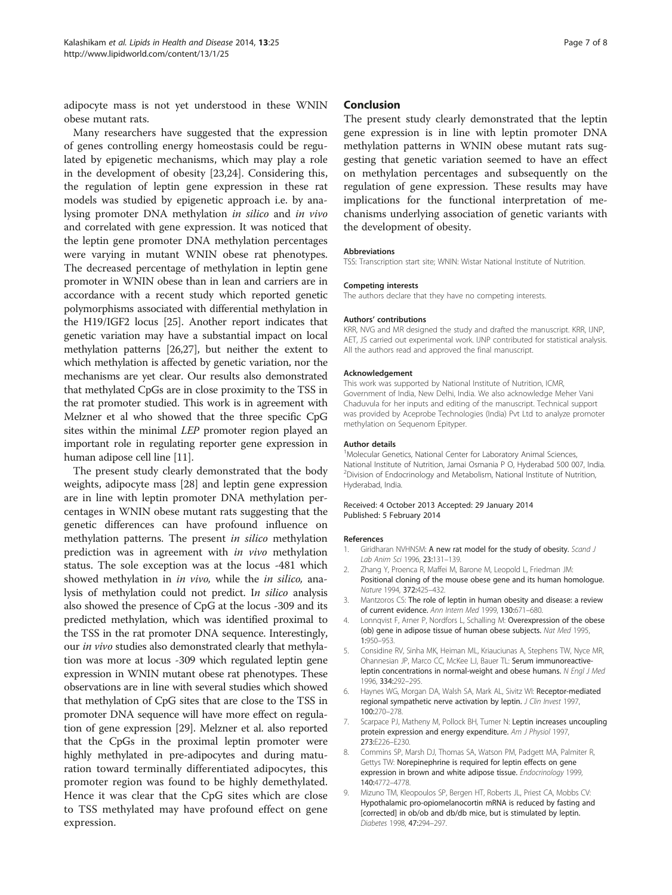<span id="page-6-0"></span>adipocyte mass is not yet understood in these WNIN obese mutant rats.

Many researchers have suggested that the expression of genes controlling energy homeostasis could be regulated by epigenetic mechanisms, which may play a role in the development of obesity [\[23,24\]](#page-7-0). Considering this, the regulation of leptin gene expression in these rat models was studied by epigenetic approach i.e. by analysing promoter DNA methylation in silico and in vivo and correlated with gene expression. It was noticed that the leptin gene promoter DNA methylation percentages were varying in mutant WNIN obese rat phenotypes. The decreased percentage of methylation in leptin gene promoter in WNIN obese than in lean and carriers are in accordance with a recent study which reported genetic polymorphisms associated with differential methylation in the H19/IGF2 locus [\[25\]](#page-7-0). Another report indicates that genetic variation may have a substantial impact on local methylation patterns [[26,27\]](#page-7-0), but neither the extent to which methylation is affected by genetic variation, nor the mechanisms are yet clear. Our results also demonstrated that methylated CpGs are in close proximity to the TSS in the rat promoter studied. This work is in agreement with Melzner et al who showed that the three specific CpG sites within the minimal LEP promoter region played an important role in regulating reporter gene expression in human adipose cell line [[11](#page-7-0)].

The present study clearly demonstrated that the body weights, adipocyte mass [[28\]](#page-7-0) and leptin gene expression are in line with leptin promoter DNA methylation percentages in WNIN obese mutant rats suggesting that the genetic differences can have profound influence on methylation patterns. The present in silico methylation prediction was in agreement with in vivo methylation status. The sole exception was at the locus -481 which showed methylation in *in vivo*, while the *in silico*, analysis of methylation could not predict. In silico analysis also showed the presence of CpG at the locus -309 and its predicted methylation, which was identified proximal to the TSS in the rat promoter DNA sequence. Interestingly, our in vivo studies also demonstrated clearly that methylation was more at locus -309 which regulated leptin gene expression in WNIN mutant obese rat phenotypes. These observations are in line with several studies which showed that methylation of CpG sites that are close to the TSS in promoter DNA sequence will have more effect on regulation of gene expression [[29](#page-7-0)]. Melzner et al. also reported that the CpGs in the proximal leptin promoter were highly methylated in pre-adipocytes and during maturation toward terminally differentiated adipocytes, this promoter region was found to be highly demethylated. Hence it was clear that the CpG sites which are close to TSS methylated may have profound effect on gene expression.

#### Conclusion

The present study clearly demonstrated that the leptin gene expression is in line with leptin promoter DNA methylation patterns in WNIN obese mutant rats suggesting that genetic variation seemed to have an effect on methylation percentages and subsequently on the regulation of gene expression. These results may have implications for the functional interpretation of mechanisms underlying association of genetic variants with the development of obesity.

#### Abbreviations

TSS: Transcription start site; WNIN: Wistar National Institute of Nutrition.

#### Competing interests

The authors declare that they have no competing interests.

#### Authors' contributions

KRR, NVG and MR designed the study and drafted the manuscript. KRR, IJNP, AET, JS carried out experimental work. IJNP contributed for statistical analysis. All the authors read and approved the final manuscript.

#### Acknowledgement

This work was supported by National Institute of Nutrition, ICMR, Government of India, New Delhi, India. We also acknowledge Meher Vani Chaduvula for her inputs and editing of the manuscript. Technical support was provided by Aceprobe Technologies (India) Pvt Ltd to analyze promoter methylation on Sequenom Epityper.

#### Author details

<sup>1</sup>Molecular Genetics, National Center for Laboratory Animal Sciences National Institute of Nutrition, Jamai Osmania P O, Hyderabad 500 007, India. <sup>2</sup> Division of Endocrinology and Metabolism, National Institute of Nutrition Hyderabad, India.

#### Received: 4 October 2013 Accepted: 29 January 2014 Published: 5 February 2014

#### References

- 1. Giridharan NVHNSM: A new rat model for the study of obesity. Scand J Lab Anim Sci 1996, 23:131–139.
- 2. Zhang Y, Proenca R, Maffei M, Barone M, Leopold L, Friedman JM: Positional cloning of the mouse obese gene and its human homologue. Nature 1994, 372:425–432.
- 3. Mantzoros CS: The role of leptin in human obesity and disease: a review of current evidence. Ann Intern Med 1999, 130:671–680.
- 4. Lonnqvist F, Arner P, Nordfors L, Schalling M: Overexpression of the obese (ob) gene in adipose tissue of human obese subjects. Nat Med 1995, 1:950–953.
- 5. Considine RV, Sinha MK, Heiman ML, Kriauciunas A, Stephens TW, Nyce MR, Ohannesian JP, Marco CC, McKee LJ, Bauer TL: Serum immunoreactiveleptin concentrations in normal-weight and obese humans. N Engl J Med 1996, 334:292–295.
- 6. Haynes WG, Morgan DA, Walsh SA, Mark AL, Sivitz WI: Receptor-mediated regional sympathetic nerve activation by leptin. J Clin Invest 1997, 100:270–278.
- 7. Scarpace PJ, Matheny M, Pollock BH, Tumer N: Leptin increases uncoupling protein expression and energy expenditure. Am J Physiol 1997, 273:E226–E230.
- 8. Commins SP, Marsh DJ, Thomas SA, Watson PM, Padgett MA, Palmiter R, Gettys TW: Norepinephrine is required for leptin effects on gene expression in brown and white adipose tissue. Endocrinology 1999, 140:4772–4778.
- 9. Mizuno TM, Kleopoulos SP, Bergen HT, Roberts JL, Priest CA, Mobbs CV: Hypothalamic pro-opiomelanocortin mRNA is reduced by fasting and [corrected] in ob/ob and db/db mice, but is stimulated by leptin. Diabetes 1998, 47:294–297.